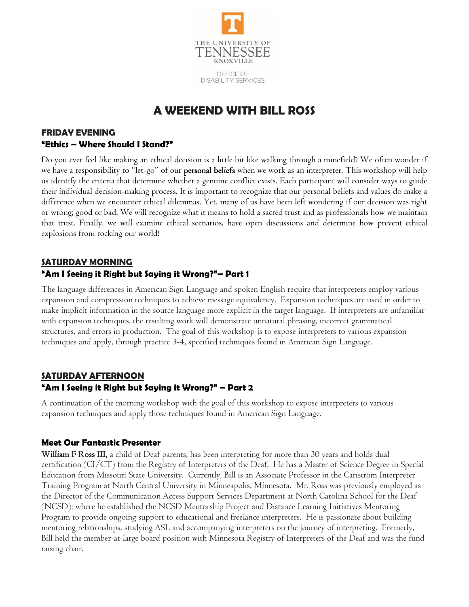

## **A WEEKEND WITH BILL ROSS**

#### **FRIDAY EVENING "Ethics – Where Should I Stand?"**

Do you ever feel like making an ethical decision is a little bit like walking through a minefield? We often wonder if we have a responsibility to "let-go" of our **personal beliefs** when we work as an interpreter. This workshop will help us identify the criteria that determine whether a genuine conflict exists. Each participant will consider ways to guide their individual decision-making process. It is important to recognize that our personal beliefs and values do make a difference when we encounter ethical dilemmas. Yet, many of us have been left wondering if our decision was right or wrong; good or bad. We will recognize what it means to hold a sacred trust and as professionals how we maintain that trust. Finally, we will examine ethical scenarios, have open discussions and determine how prevent ethical explosions from rocking our world!

# **SATURDAY MORNING**

### **"Am I Seeing it Right but Saying it Wrong?"– Part 1**

The language differences in American Sign Language and spoken English require that interpreters employ various expansion and compression techniques to achieve message equivalency. Expansion techniques are used in order to make implicit information in the source language more explicit in the target language. If interpreters are unfamiliar with expansion techniques, the resulting work will demonstrate unnatural phrasing, incorrect grammatical structures, and errors in production. The goal of this workshop is to expose interpreters to various expansion techniques and apply, through practice 3-4, specified techniques found in American Sign Language.

### **SATURDAY AFTERNOON**

#### **"Am I Seeing it Right but Saying it Wrong?" – Part 2**

A continuation of the morning workshop with the goal of this workshop to expose interpreters to various expansion techniques and apply those techniques found in American Sign Language.

#### **Meet Our Fantastic Presenter**

William F Ross III, a child of Deaf parents, has been interpreting for more than 30 years and holds dual certification (CI/CT) from the Registry of Interpreters of the Deaf. He has a Master of Science Degree in Special Education from Missouri State University. Currently, Bill is an Associate Professor in the Caristrom Interpreter Training Program at North Central University in Minneapolis, Minnesota. Mr. Ross was previously employed as the Director of the Communication Access Support Services Department at North Carolina School for the Deaf (NCSD); where he established the NCSD Mentorship Project and Distance Learning Initiatives Mentoring Program to provide ongoing support to educational and freelance interpreters. He is passionate about building mentoring relationships, studying ASL and accompanying interpreters on the journey of interpreting. Formerly, Bill held the member-at-large board position with Minnesota Registry of Interpreters of the Deaf and was the fund raising chair.